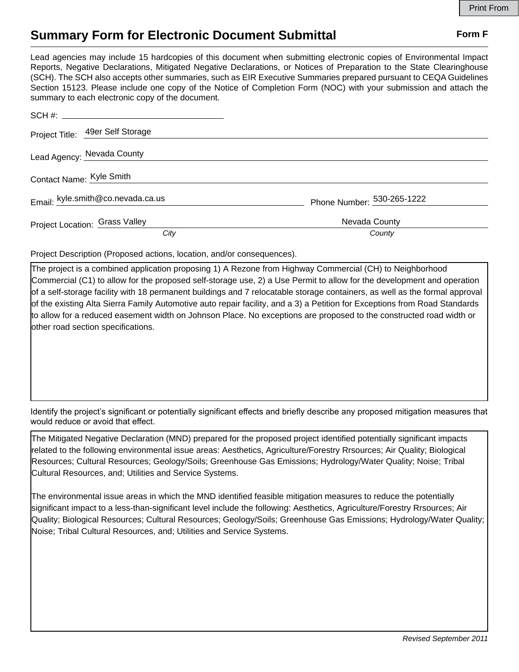## **Summary Form for Electronic Document Submittal Form F Form F**

Lead agencies may include 15 hardcopies of this document when submitting electronic copies of Environmental Impact Reports, Negative Declarations, Mitigated Negative Declarations, or Notices of Preparation to the State Clearinghouse (SCH). The SCH also accepts other summaries, such as EIR Executive Summaries prepared pursuant to CEQA Guidelines Section 15123. Please include one copy of the Notice of Completion Form (NOC) with your submission and attach the summary to each electronic copy of the document.

| SCH #:                            |                            |
|-----------------------------------|----------------------------|
| Project Title: 49er Self Storage  |                            |
| Lead Agency: Nevada County        |                            |
| Contact Name: Kyle Smith          |                            |
| Email: kyle.smith@co.nevada.ca.us | Phone Number: 530-265-1222 |
| Project Location: Grass Valley    | Nevada County              |
| City                              | County                     |

Project Description (Proposed actions, location, and/or consequences).

The project is a combined application proposing 1) A Rezone from Highway Commercial (CH) to Neighborhood Commercial (C1) to allow for the proposed self-storage use, 2) a Use Permit to allow for the development and operation of a self-storage facility with 18 permanent buildings and 7 relocatable storage containers, as well as the formal approval of the existing Alta Sierra Family Automotive auto repair facility, and a 3) a Petition for Exceptions from Road Standards to allow for a reduced easement width on Johnson Place. No exceptions are proposed to the constructed road width or other road section specifications.

Identify the project's significant or potentially significant effects and briefly describe any proposed mitigation measures that would reduce or avoid that effect.

The Mitigated Negative Declaration (MND) prepared for the proposed project identified potentially significant impacts related to the following environmental issue areas: Aesthetics, Agriculture/Forestry Rrsources; Air Quality; Biological Resources; Cultural Resources; Geology/Soils; Greenhouse Gas Emissions; Hydrology/Water Quality; Noise; Tribal Cultural Resources, and; Utilities and Service Systems.

The environmental issue areas in which the MND identified feasible mitigation measures to reduce the potentially significant impact to a less-than-significant level include the following: Aesthetics, Agriculture/Forestry Rrsources; Air Quality; Biological Resources; Cultural Resources; Geology/Soils; Greenhouse Gas Emissions; Hydrology/Water Quality; Noise; Tribal Cultural Resources, and; Utilities and Service Systems.